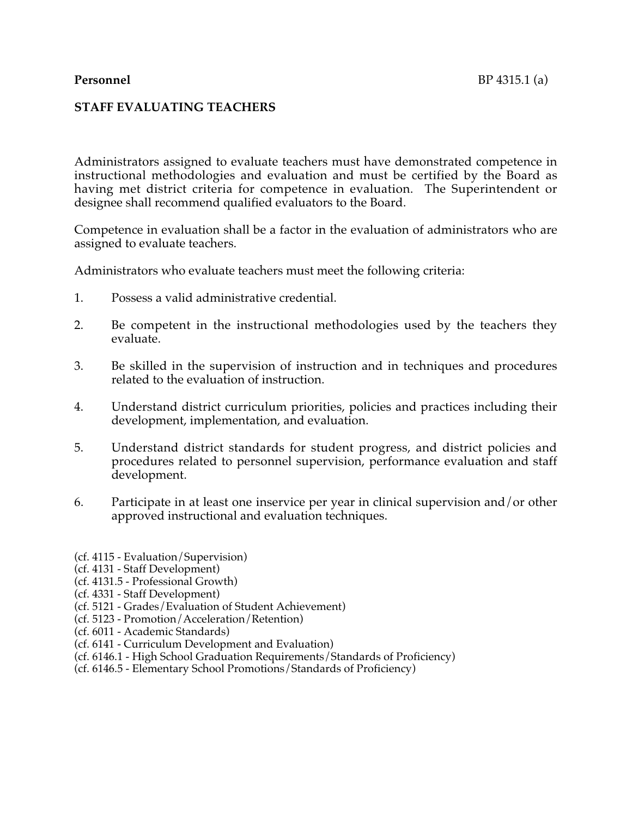## **STAFF EVALUATING TEACHERS**

Administrators assigned to evaluate teachers must have demonstrated competence in instructional methodologies and evaluation and must be certified by the Board as having met district criteria for competence in evaluation. The Superintendent or designee shall recommend qualified evaluators to the Board.

Competence in evaluation shall be a factor in the evaluation of administrators who are assigned to evaluate teachers.

Administrators who evaluate teachers must meet the following criteria:

- 1. Possess a valid administrative credential.
- 2. Be competent in the instructional methodologies used by the teachers they evaluate.
- 3. Be skilled in the supervision of instruction and in techniques and procedures related to the evaluation of instruction.
- 4. Understand district curriculum priorities, policies and practices including their development, implementation, and evaluation.
- 5. Understand district standards for student progress, and district policies and procedures related to personnel supervision, performance evaluation and staff development.
- 6. Participate in at least one inservice per year in clinical supervision and/or other approved instructional and evaluation techniques.
- (cf. 4115 Evaluation/Supervision)
- (cf. 4131 Staff Development)
- (cf. 4131.5 Professional Growth)
- (cf. 4331 Staff Development)
- (cf. 5121 Grades/Evaluation of Student Achievement)
- (cf. 5123 Promotion/Acceleration/Retention)
- (cf. 6011 Academic Standards)
- (cf. 6141 Curriculum Development and Evaluation)
- (cf. 6146.1 High School Graduation Requirements/Standards of Proficiency)
- (cf. 6146.5 Elementary School Promotions/Standards of Proficiency)